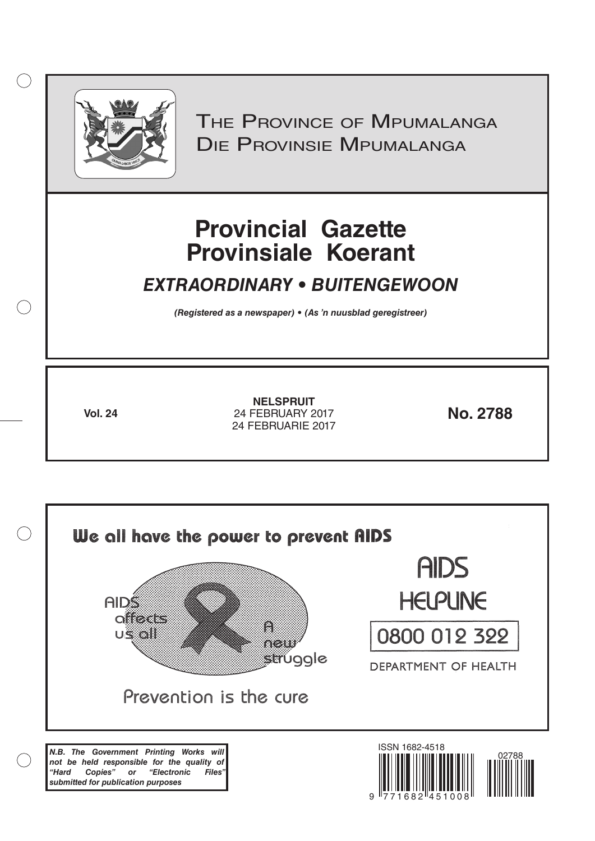

 $( )$ 

THE PROVINCE OF MPUMALANGA Die Provinsie Mpumalanga

# **Provincial Gazette Provinsiale Koerant**

# *EXTRAORDINARY • BUITENGEWOON*

*(Registered as a newspaper) • (As 'n nuusblad geregistreer)*

**Vol. 24 No. 2788** 24 FEBRUARY 2017 **NELSPRUIT** 24 FEBRUARIE 2017

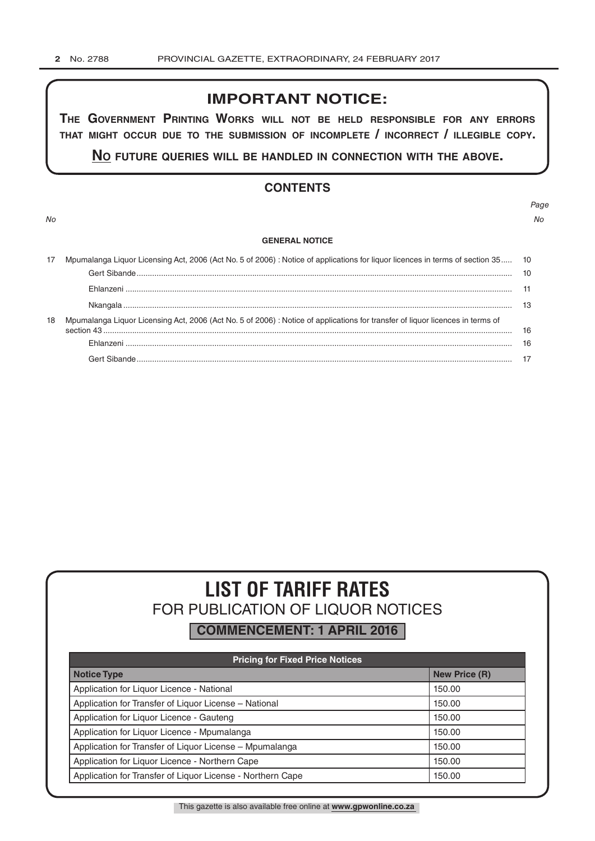# **IMPORTANT NOTICE:**

**The GovernmenT PrinTinG Works Will noT be held resPonsible for any errors ThaT miGhT occur due To The submission of incomPleTe / incorrecT / illeGible coPy.**

**no fuTure queries Will be handled in connecTion WiTh The above.**

# **CONTENTS**

*No No*

# *Page*

#### **GENERAL NOTICE**

|    | Mpumalanga Liquor Licensing Act, 2006 (Act No. 5 of 2006) : Notice of applications for liquor licences in terms of section 35 10 |     |
|----|----------------------------------------------------------------------------------------------------------------------------------|-----|
|    |                                                                                                                                  |     |
|    |                                                                                                                                  |     |
|    |                                                                                                                                  |     |
| 18 | Mpumalanga Liquor Licensing Act, 2006 (Act No. 5 of 2006) : Notice of applications for transfer of liquor licences in terms of   | -16 |
|    |                                                                                                                                  |     |
|    |                                                                                                                                  |     |

# **LIST OF TARIFF RATES** FOR PUBLICATION OF LIQUOR NOTICES

**COMMENCEMENT: 1 APRIL 2016**

| <b>Pricing for Fixed Price Notices</b>                     |                      |  |  |  |
|------------------------------------------------------------|----------------------|--|--|--|
| <b>Notice Type</b>                                         | <b>New Price (R)</b> |  |  |  |
| Application for Liquor Licence - National                  | 150.00               |  |  |  |
| Application for Transfer of Liquor License - National      | 150.00               |  |  |  |
| Application for Liquor Licence - Gauteng                   | 150.00               |  |  |  |
| Application for Liquor Licence - Mpumalanga                | 150.00               |  |  |  |
| Application for Transfer of Liquor License - Mpumalanga    | 150.00               |  |  |  |
| Application for Liquor Licence - Northern Cape             | 150.00               |  |  |  |
| Application for Transfer of Liquor License - Northern Cape | 150.00               |  |  |  |

This gazette is also available free online at **www.gpwonline.co.za**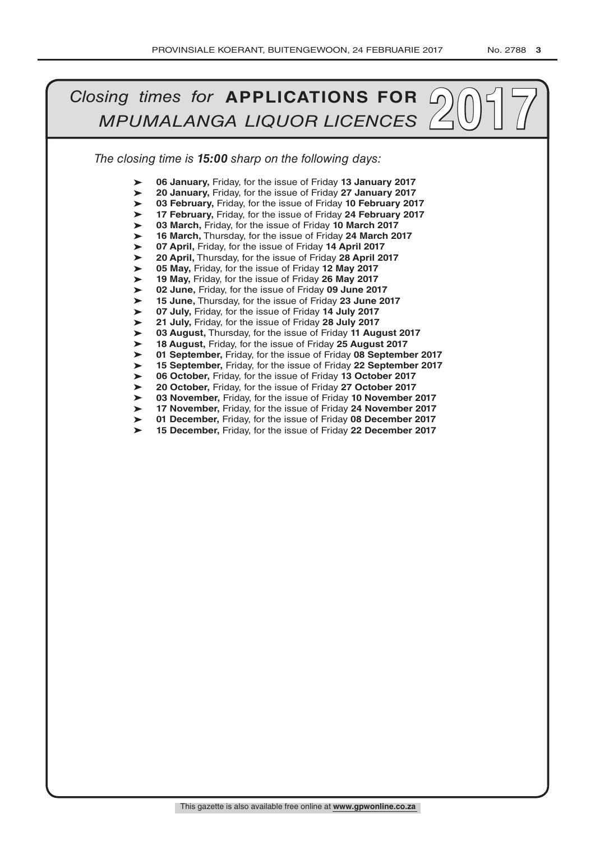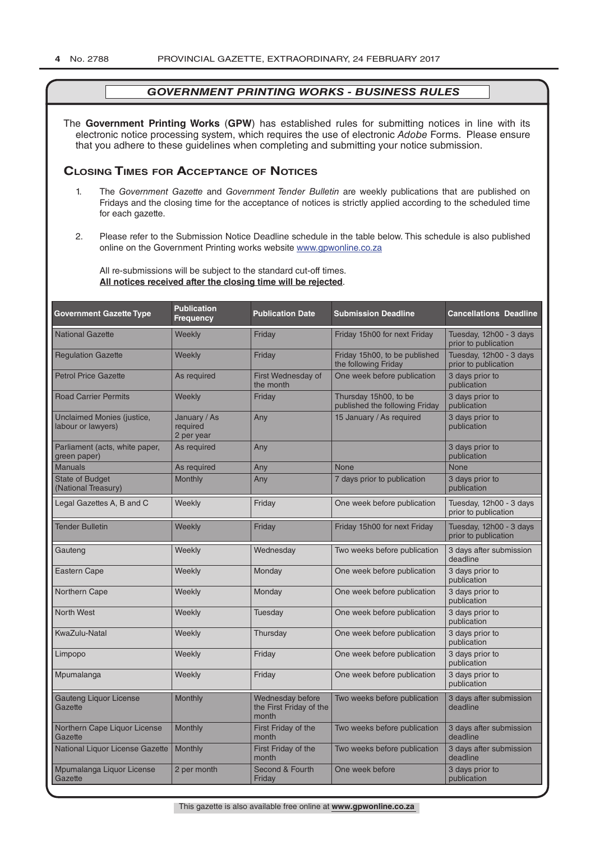The **Government Printing Works** (**GPW**) has established rules for submitting notices in line with its electronic notice processing system, which requires the use of electronic *Adobe* Forms. Please ensure that you adhere to these guidelines when completing and submitting your notice submission.

# **Closing Times for ACCepTAnCe of noTiCes**

- 1. The *Government Gazette* and *Government Tender Bulletin* are weekly publications that are published on Fridays and the closing time for the acceptance of notices is strictly applied according to the scheduled time for each gazette.
- 2. Please refer to the Submission Notice Deadline schedule in the table below. This schedule is also published online on the Government Printing works website www.gpwonline.co.za

All re-submissions will be subject to the standard cut-off times. **All notices received after the closing time will be rejected**.

| <b>Government Gazette Type</b>                   | <b>Publication</b><br><b>Frequency</b> | <b>Publication Date</b>                              | <b>Submission Deadline</b>                              | <b>Cancellations Deadline</b>                   |
|--------------------------------------------------|----------------------------------------|------------------------------------------------------|---------------------------------------------------------|-------------------------------------------------|
| <b>National Gazette</b>                          | Weekly                                 | Friday                                               | Friday 15h00 for next Friday                            | Tuesday, 12h00 - 3 days<br>prior to publication |
| <b>Regulation Gazette</b>                        | Weekly                                 | Friday                                               | Friday 15h00, to be published<br>the following Friday   | Tuesday, 12h00 - 3 days<br>prior to publication |
| <b>Petrol Price Gazette</b>                      | As required                            | First Wednesday of<br>the month                      | One week before publication                             | 3 days prior to<br>publication                  |
| <b>Road Carrier Permits</b>                      | Weekly                                 | Friday                                               | Thursday 15h00, to be<br>published the following Friday | 3 days prior to<br>publication                  |
| Unclaimed Monies (justice,<br>labour or lawyers) | January / As<br>required<br>2 per year | Any                                                  | 15 January / As required                                | 3 days prior to<br>publication                  |
| Parliament (acts, white paper,<br>green paper)   | As required                            | Any                                                  |                                                         | 3 days prior to<br>publication                  |
| <b>Manuals</b>                                   | As required                            | Any                                                  | <b>None</b>                                             | <b>None</b>                                     |
| <b>State of Budget</b><br>(National Treasury)    | <b>Monthly</b>                         | Any                                                  | 7 days prior to publication                             | 3 days prior to<br>publication                  |
| Legal Gazettes A, B and C                        | Weekly                                 | Friday                                               | One week before publication                             | Tuesday, 12h00 - 3 days<br>prior to publication |
| <b>Tender Bulletin</b>                           | Weekly                                 | Friday                                               | Friday 15h00 for next Friday                            | Tuesday, 12h00 - 3 days<br>prior to publication |
| Gauteng                                          | Weekly                                 | Wednesday                                            | Two weeks before publication                            | 3 days after submission<br>deadline             |
| <b>Eastern Cape</b>                              | Weekly                                 | Monday                                               | One week before publication                             | 3 days prior to<br>publication                  |
| Northern Cape                                    | Weekly                                 | Monday                                               | One week before publication                             | 3 days prior to<br>publication                  |
| <b>North West</b>                                | Weekly                                 | Tuesday                                              | One week before publication                             | 3 days prior to<br>publication                  |
| KwaZulu-Natal                                    | Weekly                                 | Thursday                                             | One week before publication                             | 3 days prior to<br>publication                  |
| Limpopo                                          | Weekly                                 | Friday                                               | One week before publication                             | 3 days prior to<br>publication                  |
| Mpumalanga                                       | Weekly                                 | Friday                                               | One week before publication                             | 3 days prior to<br>publication                  |
| <b>Gauteng Liquor License</b><br>Gazette         | Monthly                                | Wednesday before<br>the First Friday of the<br>month | Two weeks before publication                            | 3 days after submission<br>deadline             |
| Northern Cape Liquor License<br>Gazette          | <b>Monthly</b>                         | First Friday of the<br>month                         | Two weeks before publication                            | 3 days after submission<br>deadline             |
| National Liquor License Gazette                  | Monthly                                | First Friday of the<br>month                         | Two weeks before publication                            | 3 days after submission<br>deadline             |
| Mpumalanga Liquor License<br>Gazette             | 2 per month                            | Second & Fourth<br>Friday                            | One week before                                         | 3 days prior to<br>publication                  |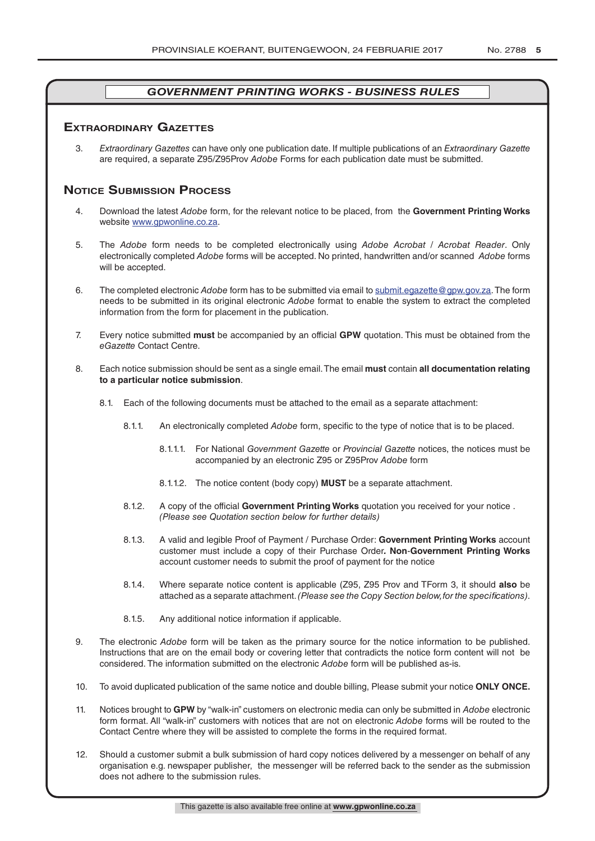# **exTrAordinAry gAzeTTes**

3. *Extraordinary Gazettes* can have only one publication date. If multiple publications of an *Extraordinary Gazette* are required, a separate Z95/Z95Prov *Adobe* Forms for each publication date must be submitted.

# **NOTICE SUBMISSION PROCESS**

- 4. Download the latest *Adobe* form, for the relevant notice to be placed, from the **Government Printing Works** website www.gpwonline.co.za.
- 5. The *Adobe* form needs to be completed electronically using *Adobe Acrobat* / *Acrobat Reader*. Only electronically completed *Adobe* forms will be accepted. No printed, handwritten and/or scanned *Adobe* forms will be accepted.
- 6. The completed electronic *Adobe* form has to be submitted via email to submit.egazette@gpw.gov.za. The form needs to be submitted in its original electronic *Adobe* format to enable the system to extract the completed information from the form for placement in the publication.
- 7. Every notice submitted **must** be accompanied by an official **GPW** quotation. This must be obtained from the *eGazette* Contact Centre.
- 8. Each notice submission should be sent as a single email. The email **must** contain **all documentation relating to a particular notice submission**.
	- 8.1. Each of the following documents must be attached to the email as a separate attachment:
		- 8.1.1. An electronically completed *Adobe* form, specific to the type of notice that is to be placed.
			- 8.1.1.1. For National *Government Gazette* or *Provincial Gazette* notices, the notices must be accompanied by an electronic Z95 or Z95Prov *Adobe* form
			- 8.1.1.2. The notice content (body copy) **MUST** be a separate attachment.
		- 8.1.2. A copy of the official **Government Printing Works** quotation you received for your notice . *(Please see Quotation section below for further details)*
		- 8.1.3. A valid and legible Proof of Payment / Purchase Order: **Government Printing Works** account customer must include a copy of their Purchase Order*.* **Non**-**Government Printing Works** account customer needs to submit the proof of payment for the notice
		- 8.1.4. Where separate notice content is applicable (Z95, Z95 Prov and TForm 3, it should **also** be attached as a separate attachment. *(Please see the Copy Section below, for the specifications)*.
		- 8.1.5. Any additional notice information if applicable.
- 9. The electronic *Adobe* form will be taken as the primary source for the notice information to be published. Instructions that are on the email body or covering letter that contradicts the notice form content will not be considered. The information submitted on the electronic *Adobe* form will be published as-is.
- 10. To avoid duplicated publication of the same notice and double billing, Please submit your notice **ONLY ONCE.**
- 11. Notices brought to **GPW** by "walk-in" customers on electronic media can only be submitted in *Adobe* electronic form format. All "walk-in" customers with notices that are not on electronic *Adobe* forms will be routed to the Contact Centre where they will be assisted to complete the forms in the required format.
- 12. Should a customer submit a bulk submission of hard copy notices delivered by a messenger on behalf of any organisation e.g. newspaper publisher, the messenger will be referred back to the sender as the submission does not adhere to the submission rules.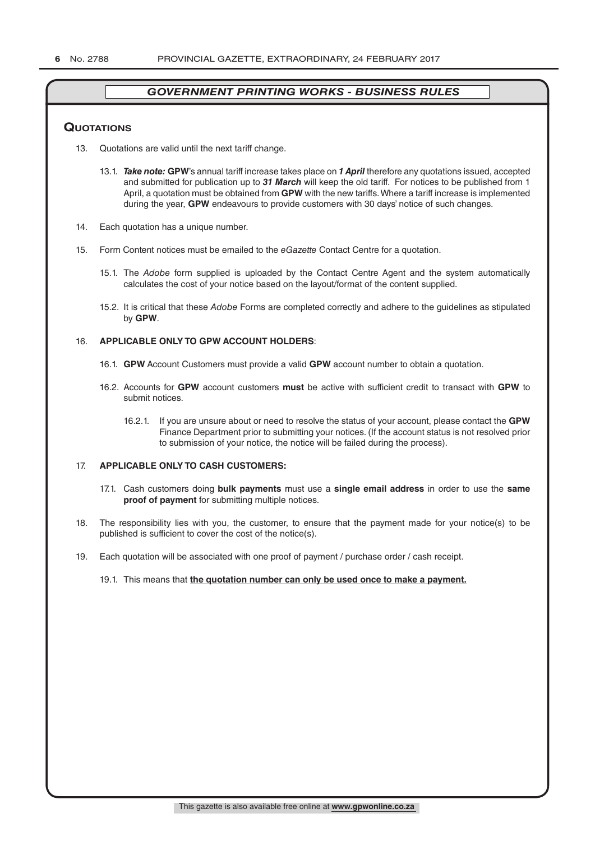#### **QuoTATions**

- 13. Quotations are valid until the next tariff change.
	- 13.1. *Take note:* **GPW**'s annual tariff increase takes place on *1 April* therefore any quotations issued, accepted and submitted for publication up to *31 March* will keep the old tariff. For notices to be published from 1 April, a quotation must be obtained from **GPW** with the new tariffs. Where a tariff increase is implemented during the year, **GPW** endeavours to provide customers with 30 days' notice of such changes.
- 14. Each quotation has a unique number.
- 15. Form Content notices must be emailed to the *eGazette* Contact Centre for a quotation.
	- 15.1. The *Adobe* form supplied is uploaded by the Contact Centre Agent and the system automatically calculates the cost of your notice based on the layout/format of the content supplied.
	- 15.2. It is critical that these *Adobe* Forms are completed correctly and adhere to the guidelines as stipulated by **GPW**.

#### 16. **APPLICABLE ONLY TO GPW ACCOUNT HOLDERS**:

- 16.1. **GPW** Account Customers must provide a valid **GPW** account number to obtain a quotation.
- 16.2. Accounts for **GPW** account customers **must** be active with sufficient credit to transact with **GPW** to submit notices.
	- 16.2.1. If you are unsure about or need to resolve the status of your account, please contact the **GPW** Finance Department prior to submitting your notices. (If the account status is not resolved prior to submission of your notice, the notice will be failed during the process).

#### 17. **APPLICABLE ONLY TO CASH CUSTOMERS:**

- 17.1. Cash customers doing **bulk payments** must use a **single email address** in order to use the **same proof of payment** for submitting multiple notices.
- 18. The responsibility lies with you, the customer, to ensure that the payment made for your notice(s) to be published is sufficient to cover the cost of the notice(s).
- 19. Each quotation will be associated with one proof of payment / purchase order / cash receipt.

#### 19.1. This means that **the quotation number can only be used once to make a payment.**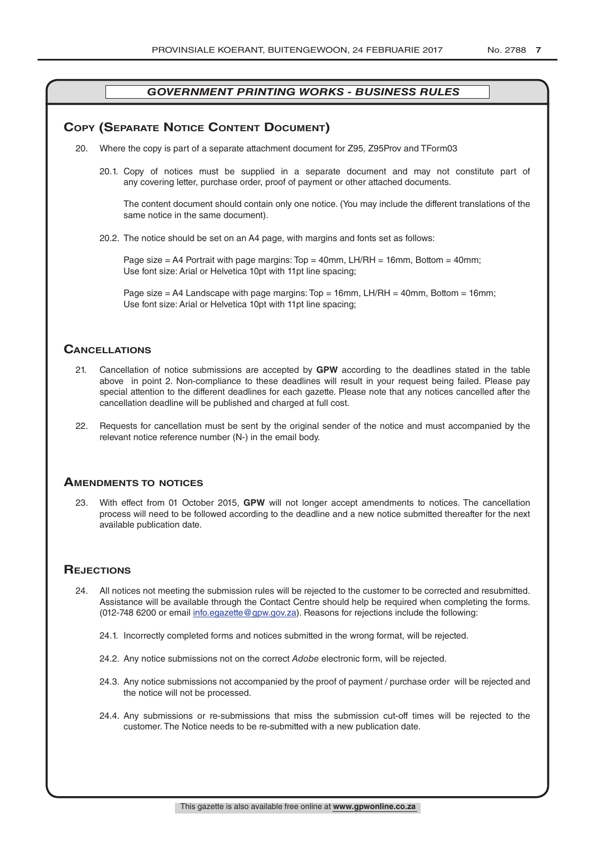# **COPY (SEPARATE NOTICE CONTENT DOCUMENT)**

- 20. Where the copy is part of a separate attachment document for Z95, Z95Prov and TForm03
	- 20.1. Copy of notices must be supplied in a separate document and may not constitute part of any covering letter, purchase order, proof of payment or other attached documents.

The content document should contain only one notice. (You may include the different translations of the same notice in the same document).

20.2. The notice should be set on an A4 page, with margins and fonts set as follows:

Page size  $=$  A4 Portrait with page margins: Top  $=$  40mm, LH/RH  $=$  16mm, Bottom  $=$  40mm; Use font size: Arial or Helvetica 10pt with 11pt line spacing;

Page size = A4 Landscape with page margins: Top = 16mm, LH/RH = 40mm, Bottom = 16mm; Use font size: Arial or Helvetica 10pt with 11pt line spacing;

# **CAnCellATions**

- 21. Cancellation of notice submissions are accepted by **GPW** according to the deadlines stated in the table above in point 2. Non-compliance to these deadlines will result in your request being failed. Please pay special attention to the different deadlines for each gazette. Please note that any notices cancelled after the cancellation deadline will be published and charged at full cost.
- 22. Requests for cancellation must be sent by the original sender of the notice and must accompanied by the relevant notice reference number (N-) in the email body.

#### **AmendmenTs To noTiCes**

23. With effect from 01 October 2015, **GPW** will not longer accept amendments to notices. The cancellation process will need to be followed according to the deadline and a new notice submitted thereafter for the next available publication date.

# **REJECTIONS**

- 24. All notices not meeting the submission rules will be rejected to the customer to be corrected and resubmitted. Assistance will be available through the Contact Centre should help be required when completing the forms. (012-748 6200 or email info.egazette@gpw.gov.za). Reasons for rejections include the following:
	- 24.1. Incorrectly completed forms and notices submitted in the wrong format, will be rejected.
	- 24.2. Any notice submissions not on the correct *Adobe* electronic form, will be rejected.
	- 24.3. Any notice submissions not accompanied by the proof of payment / purchase order will be rejected and the notice will not be processed.
	- 24.4. Any submissions or re-submissions that miss the submission cut-off times will be rejected to the customer. The Notice needs to be re-submitted with a new publication date.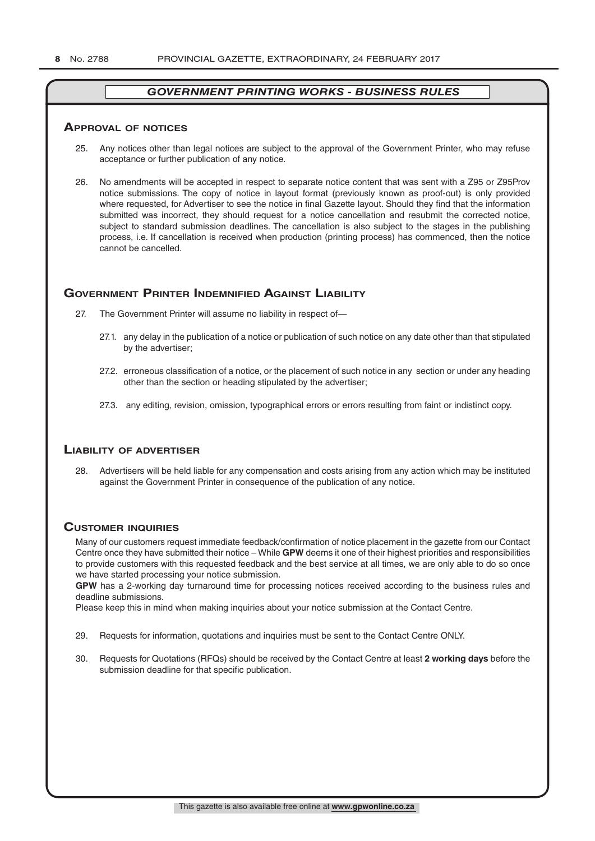#### **ApprovAl of noTiCes**

- 25. Any notices other than legal notices are subject to the approval of the Government Printer, who may refuse acceptance or further publication of any notice.
- 26. No amendments will be accepted in respect to separate notice content that was sent with a Z95 or Z95Prov notice submissions. The copy of notice in layout format (previously known as proof-out) is only provided where requested, for Advertiser to see the notice in final Gazette layout. Should they find that the information submitted was incorrect, they should request for a notice cancellation and resubmit the corrected notice, subject to standard submission deadlines. The cancellation is also subject to the stages in the publishing process, i.e. If cancellation is received when production (printing process) has commenced, then the notice cannot be cancelled.

# **governmenT prinTer indemnified AgAinsT liAbiliTy**

- 27. The Government Printer will assume no liability in respect of—
	- 27.1. any delay in the publication of a notice or publication of such notice on any date other than that stipulated by the advertiser;
	- 27.2. erroneous classification of a notice, or the placement of such notice in any section or under any heading other than the section or heading stipulated by the advertiser;
	- 27.3. any editing, revision, omission, typographical errors or errors resulting from faint or indistinct copy.

#### **liAbiliTy of AdverTiser**

28. Advertisers will be held liable for any compensation and costs arising from any action which may be instituted against the Government Printer in consequence of the publication of any notice.

#### **CusTomer inQuiries**

Many of our customers request immediate feedback/confirmation of notice placement in the gazette from our Contact Centre once they have submitted their notice – While **GPW** deems it one of their highest priorities and responsibilities to provide customers with this requested feedback and the best service at all times, we are only able to do so once we have started processing your notice submission.

**GPW** has a 2-working day turnaround time for processing notices received according to the business rules and deadline submissions.

Please keep this in mind when making inquiries about your notice submission at the Contact Centre.

- 29. Requests for information, quotations and inquiries must be sent to the Contact Centre ONLY.
- 30. Requests for Quotations (RFQs) should be received by the Contact Centre at least **2 working days** before the submission deadline for that specific publication.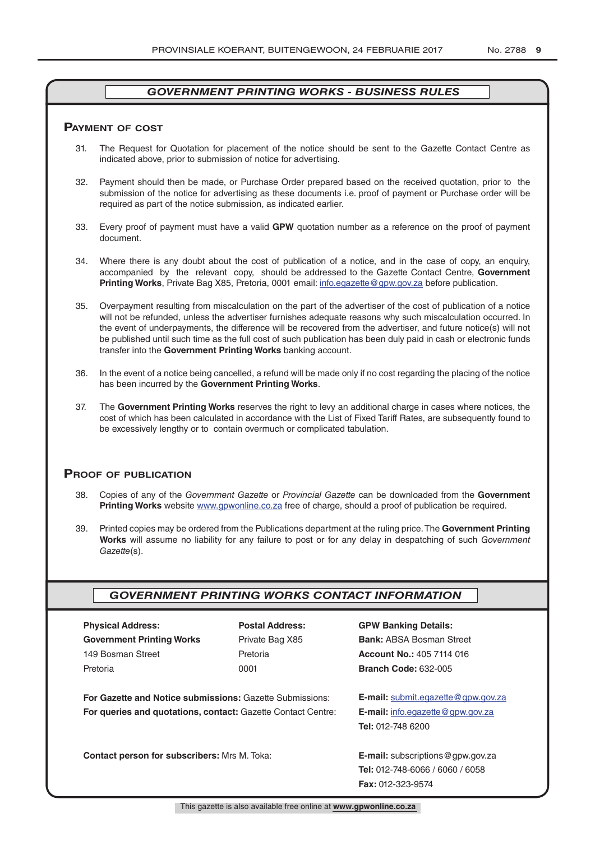#### **pAymenT of CosT**

- 31. The Request for Quotation for placement of the notice should be sent to the Gazette Contact Centre as indicated above, prior to submission of notice for advertising.
- 32. Payment should then be made, or Purchase Order prepared based on the received quotation, prior to the submission of the notice for advertising as these documents i.e. proof of payment or Purchase order will be required as part of the notice submission, as indicated earlier.
- 33. Every proof of payment must have a valid **GPW** quotation number as a reference on the proof of payment document.
- 34. Where there is any doubt about the cost of publication of a notice, and in the case of copy, an enquiry, accompanied by the relevant copy, should be addressed to the Gazette Contact Centre, **Government Printing Works**, Private Bag X85, Pretoria, 0001 email: info.egazette@gpw.gov.za before publication.
- 35. Overpayment resulting from miscalculation on the part of the advertiser of the cost of publication of a notice will not be refunded, unless the advertiser furnishes adequate reasons why such miscalculation occurred. In the event of underpayments, the difference will be recovered from the advertiser, and future notice(s) will not be published until such time as the full cost of such publication has been duly paid in cash or electronic funds transfer into the **Government Printing Works** banking account.
- 36. In the event of a notice being cancelled, a refund will be made only if no cost regarding the placing of the notice has been incurred by the **Government Printing Works**.
- 37. The **Government Printing Works** reserves the right to levy an additional charge in cases where notices, the cost of which has been calculated in accordance with the List of Fixed Tariff Rates, are subsequently found to be excessively lengthy or to contain overmuch or complicated tabulation.

#### **proof of publiCATion**

- 38. Copies of any of the *Government Gazette* or *Provincial Gazette* can be downloaded from the **Government Printing Works** website www.gpwonline.co.za free of charge, should a proof of publication be required.
- 39. Printed copies may be ordered from the Publications department at the ruling price. The **Government Printing Works** will assume no liability for any failure to post or for any delay in despatching of such *Government Gazette*(s).

# *GOVERNMENT PRINTING WORKS CONTACT INFORMATION*

| <b>Physical Address:</b>         |  |  |  |  |
|----------------------------------|--|--|--|--|
| <b>Government Printing Works</b> |  |  |  |  |
| 149 Bosman Street                |  |  |  |  |
| Pretoria                         |  |  |  |  |

**For Gazette and Notice submissions:** Gazette Submissions: **E-mail:** submit.egazette@gpw.gov.za **For queries and quotations, contact:** Gazette Contact Centre: **E-mail:** info.egazette@gpw.gov.za

**Contact person for subscribers:** Mrs M. Toka: **E-mail:** subscriptions@gpw.gov.za

# **Physical Address: Postal Address: GPW Banking Details:**

Private Bag X85 **Bank:** ABSA Bosman Street 149 Bosman Street Pretoria **Account No.:** 405 7114 016 Pretoria 0001 **Branch Code:** 632-005

**Tel:** 012-748 6200

**Tel:** 012-748-6066 / 6060 / 6058 **Fax:** 012-323-9574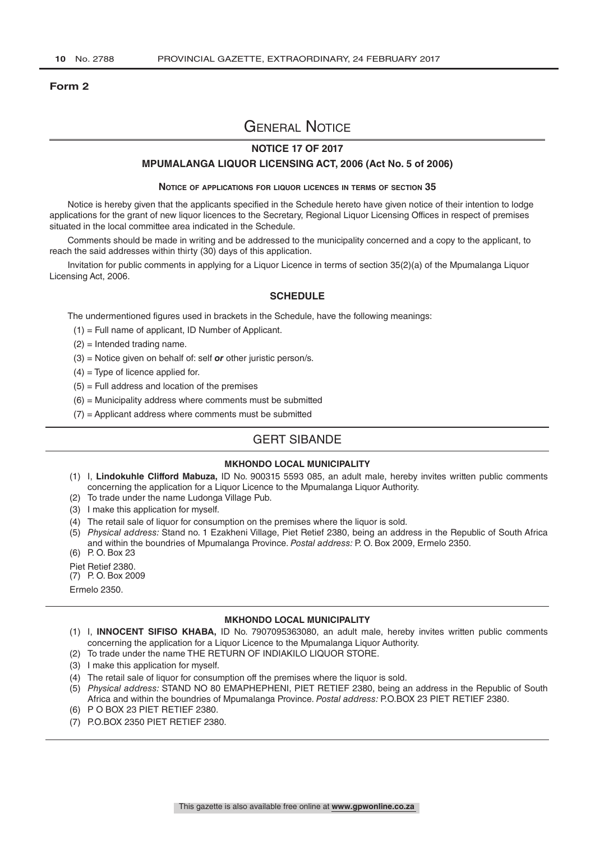#### **Form 2**

# General Notice

## **NOTICE 17 OF 2017**

#### **MPUMALANGA LIQUOR LICENSING ACT, 2006 (Act No. 5 of 2006)**

#### **Notice of applications for liquor licences in terms of section 35**

Notice is hereby given that the applicants specified in the Schedule hereto have given notice of their intention to lodge applications for the grant of new liquor licences to the Secretary, Regional Liquor Licensing Offices in respect of premises situated in the local committee area indicated in the Schedule.

Comments should be made in writing and be addressed to the municipality concerned and a copy to the applicant, to reach the said addresses within thirty (30) days of this application.

Invitation for public comments in applying for a Liquor Licence in terms of section 35(2)(a) of the Mpumalanga Liquor Licensing Act, 2006.

#### **SCHEDULE**

The undermentioned figures used in brackets in the Schedule, have the following meanings:

- (1) = Full name of applicant, ID Number of Applicant.
- (2) = Intended trading name.
- (3) = Notice given on behalf of: self *or* other juristic person/s.
- $(4)$  = Type of licence applied for.
- $(5)$  = Full address and location of the premises
- $(6)$  = Municipality address where comments must be submitted
- $(7)$  = Applicant address where comments must be submitted

# GERT SIBANDE

#### **MKHONDO LOCAL MUNICIPALITY**

- (1) I, **Lindokuhle Clifford Mabuza,** ID No. 900315 5593 085, an adult male, hereby invites written public comments concerning the application for a Liquor Licence to the Mpumalanga Liquor Authority.
- (2) To trade under the name Ludonga Village Pub.
- (3) I make this application for myself.
- (4) The retail sale of liquor for consumption on the premises where the liquor is sold.
- (5) *Physical address:* Stand no. 1 Ezakheni Village, Piet Retief 2380, being an address in the Republic of South Africa and within the boundries of Mpumalanga Province. *Postal address:* P. O. Box 2009, Ermelo 2350.
- (6) P. O. Box 23

Piet Retief 2380.

(7) P. O. Box 2009 Ermelo 2350.

#### **MKHONDO LOCAL MUNICIPALITY**

- (1) I, **INNOCENT SIFISO KHABA,** ID No. 7907095363080, an adult male, hereby invites written public comments concerning the application for a Liquor Licence to the Mpumalanga Liquor Authority.
- (2) To trade under the name THE RETURN OF INDIAKILO LIQUOR STORE.
- (3) I make this application for myself.
- (4) The retail sale of liquor for consumption off the premises where the liquor is sold.
- (5) *Physical address:* STAND NO 80 EMAPHEPHENI, PIET RETIEF 2380, being an address in the Republic of South Africa and within the boundries of Mpumalanga Province. *Postal address:* P.O.BOX 23 PIET RETIEF 2380.
- (6) P O BOX 23 PIET RETIEF 2380.
- (7) P.O.BOX 2350 PIET RETIEF 2380.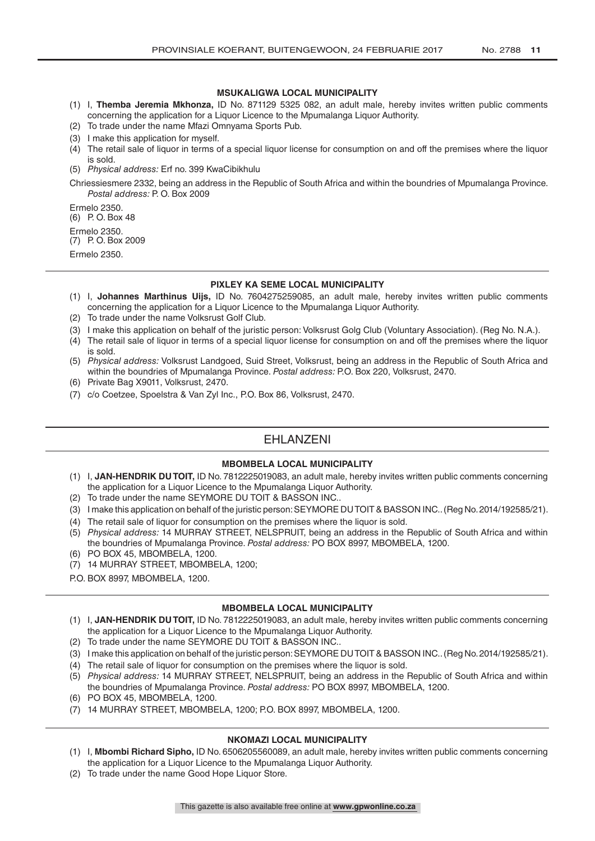#### **MSUKALIGWA LOCAL MUNICIPALITY**

- (1) I, **Themba Jeremia Mkhonza,** ID No. 871129 5325 082, an adult male, hereby invites written public comments concerning the application for a Liquor Licence to the Mpumalanga Liquor Authority.
- (2) To trade under the name Mfazi Omnyama Sports Pub.
- (3) I make this application for myself.
- (4) The retail sale of liquor in terms of a special liquor license for consumption on and off the premises where the liquor is sold.
- (5) *Physical address:* Erf no. 399 KwaCibikhulu

Chriessiesmere 2332, being an address in the Republic of South Africa and within the boundries of Mpumalanga Province. *Postal address:* P. O. Box 2009

Ermelo 2350. (6) P. O. Box 48 Ermelo 2350. (7) P. O. Box 2009 Ermelo 2350.

#### **PIXLEY KA SEME LOCAL MUNICIPALITY**

- (1) I, **Johannes Marthinus Uijs,** ID No. 7604275259085, an adult male, hereby invites written public comments concerning the application for a Liquor Licence to the Mpumalanga Liquor Authority.
- (2) To trade under the name Volksrust Golf Club.
- (3) I make this application on behalf of the juristic person: Volksrust Golg Club (Voluntary Association). (Reg No. N.A.).
- (4) The retail sale of liquor in terms of a special liquor license for consumption on and off the premises where the liquor is sold.
- (5) *Physical address:* Volksrust Landgoed, Suid Street, Volksrust, being an address in the Republic of South Africa and within the boundries of Mpumalanga Province. *Postal address:* P.O. Box 220, Volksrust, 2470.
- (6) Private Bag X9011, Volksrust, 2470.
- (7) c/o Coetzee, Spoelstra & Van Zyl Inc., P.O. Box 86, Volksrust, 2470.

# EHLANZENI

#### **MBOMBELA LOCAL MUNICIPALITY**

- (1) I, **JAN-HENDRIK DU TOIT,** ID No. 7812225019083, an adult male, hereby invites written public comments concerning the application for a Liquor Licence to the Mpumalanga Liquor Authority.
- (2) To trade under the name SEYMORE DU TOIT & BASSON INC..
- (3) I make this application on behalf of the juristic person: SEYMORE DU TOIT & BASSON INC.. (Reg No. 2014/192585/21).
- (4) The retail sale of liquor for consumption on the premises where the liquor is sold.
- (5) *Physical address:* 14 MURRAY STREET, NELSPRUIT, being an address in the Republic of South Africa and within the boundries of Mpumalanga Province. *Postal address:* PO BOX 8997, MBOMBELA, 1200.
- (6) PO BOX 45, MBOMBELA, 1200.
- (7) 14 MURRAY STREET, MBOMBELA, 1200;
- P.O. BOX 8997, MBOMBELA, 1200.

#### **MBOMBELA LOCAL MUNICIPALITY**

- (1) I, **JAN-HENDRIK DU TOIT,** ID No. 7812225019083, an adult male, hereby invites written public comments concerning the application for a Liquor Licence to the Mpumalanga Liquor Authority.
- (2) To trade under the name SEYMORE DU TOIT & BASSON INC..
- (3) I make this application on behalf of the juristic person: SEYMORE DU TOIT & BASSON INC.. (Reg No. 2014/192585/21).
- (4) The retail sale of liquor for consumption on the premises where the liquor is sold.
- (5) *Physical address:* 14 MURRAY STREET, NELSPRUIT, being an address in the Republic of South Africa and within the boundries of Mpumalanga Province. *Postal address:* PO BOX 8997, MBOMBELA, 1200.
- (6) PO BOX 45, MBOMBELA, 1200.
- (7) 14 MURRAY STREET, MBOMBELA, 1200; P.O. BOX 8997, MBOMBELA, 1200.

#### **NKOMAZI LOCAL MUNICIPALITY**

- (1) I, **Mbombi Richard Sipho,** ID No. 6506205560089, an adult male, hereby invites written public comments concerning the application for a Liquor Licence to the Mpumalanga Liquor Authority.
- (2) To trade under the name Good Hope Liquor Store.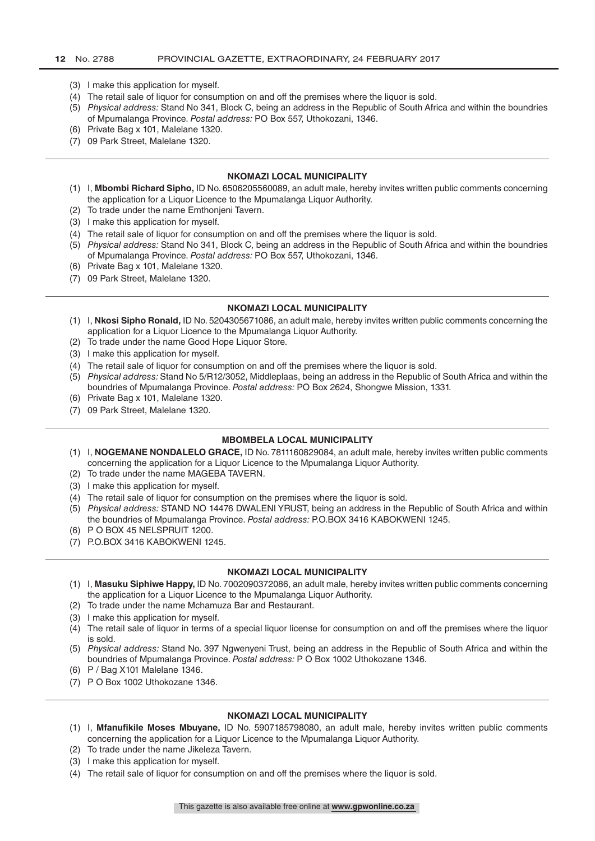- (3) I make this application for myself.
- (4) The retail sale of liquor for consumption on and off the premises where the liquor is sold.
- (5) *Physical address:* Stand No 341, Block C, being an address in the Republic of South Africa and within the boundries of Mpumalanga Province. *Postal address:* PO Box 557, Uthokozani, 1346.
- (6) Private Bag x 101, Malelane 1320.
- (7) 09 Park Street, Malelane 1320.

#### **NKOMAZI LOCAL MUNICIPALITY**

- (1) I, **Mbombi Richard Sipho,** ID No. 6506205560089, an adult male, hereby invites written public comments concerning the application for a Liquor Licence to the Mpumalanga Liquor Authority.
- (2) To trade under the name Emthonjeni Tavern.
- (3) I make this application for myself.
- (4) The retail sale of liquor for consumption on and off the premises where the liquor is sold.
- (5) *Physical address:* Stand No 341, Block C, being an address in the Republic of South Africa and within the boundries of Mpumalanga Province. *Postal address:* PO Box 557, Uthokozani, 1346.
- (6) Private Bag x 101, Malelane 1320.
- (7) 09 Park Street, Malelane 1320.

#### **NKOMAZI LOCAL MUNICIPALITY**

- (1) I, **Nkosi Sipho Ronald,** ID No. 5204305671086, an adult male, hereby invites written public comments concerning the application for a Liquor Licence to the Mpumalanga Liquor Authority.
- (2) To trade under the name Good Hope Liquor Store.
- (3) I make this application for myself.
- (4) The retail sale of liquor for consumption on and off the premises where the liquor is sold.
- (5) *Physical address:* Stand No 5/R12/3052, Middleplaas, being an address in the Republic of South Africa and within the boundries of Mpumalanga Province. *Postal address:* PO Box 2624, Shongwe Mission, 1331.
- (6) Private Bag x 101, Malelane 1320.
- (7) 09 Park Street, Malelane 1320.

#### **MBOMBELA LOCAL MUNICIPALITY**

- (1) I, **NOGEMANE NONDALELO GRACE,** ID No. 7811160829084, an adult male, hereby invites written public comments concerning the application for a Liquor Licence to the Mpumalanga Liquor Authority.
- (2) To trade under the name MAGEBA TAVERN.
- (3) I make this application for myself.
- (4) The retail sale of liquor for consumption on the premises where the liquor is sold.
- (5) *Physical address:* STAND NO 14476 DWALENI YRUST, being an address in the Republic of South Africa and within the boundries of Mpumalanga Province. *Postal address:* P.O.BOX 3416 KABOKWENI 1245.
- (6) P O BOX 45 NELSPRUIT 1200.
- (7) P.O.BOX 3416 KABOKWENI 1245.

#### **NKOMAZI LOCAL MUNICIPALITY**

- (1) I, **Masuku Siphiwe Happy,** ID No. 7002090372086, an adult male, hereby invites written public comments concerning the application for a Liquor Licence to the Mpumalanga Liquor Authority.
- (2) To trade under the name Mchamuza Bar and Restaurant.
- (3) I make this application for myself.
- (4) The retail sale of liquor in terms of a special liquor license for consumption on and off the premises where the liquor is sold.
- (5) *Physical address:* Stand No. 397 Ngwenyeni Trust, being an address in the Republic of South Africa and within the boundries of Mpumalanga Province. *Postal address:* P O Box 1002 Uthokozane 1346.
- (6) P / Bag X101 Malelane 1346.
- (7) P O Box 1002 Uthokozane 1346.

#### **NKOMAZI LOCAL MUNICIPALITY**

- (1) I, **Mfanufikile Moses Mbuyane,** ID No. 5907185798080, an adult male, hereby invites written public comments concerning the application for a Liquor Licence to the Mpumalanga Liquor Authority.
- (2) To trade under the name Jikeleza Tavern.
- (3) I make this application for myself.
- (4) The retail sale of liquor for consumption on and off the premises where the liquor is sold.

This gazette is also available free online at **www.gpwonline.co.za**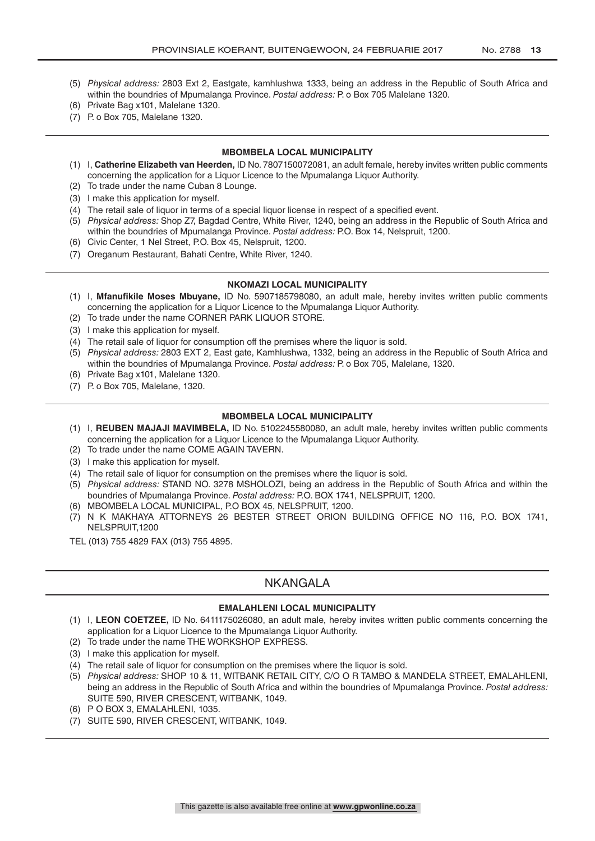- (5) *Physical address:* 2803 Ext 2, Eastgate, kamhlushwa 1333, being an address in the Republic of South Africa and within the boundries of Mpumalanga Province. *Postal address:* P. o Box 705 Malelane 1320.
- (6) Private Bag x101, Malelane 1320.
- (7) P. o Box 705, Malelane 1320.

#### **MBOMBELA LOCAL MUNICIPALITY**

- (1) I, **Catherine Elizabeth van Heerden,** ID No. 7807150072081, an adult female, hereby invites written public comments concerning the application for a Liquor Licence to the Mpumalanga Liquor Authority.
- (2) To trade under the name Cuban 8 Lounge.
- (3) I make this application for myself.
- (4) The retail sale of liquor in terms of a special liquor license in respect of a specified event.
- (5) *Physical address:* Shop Z7, Bagdad Centre, White River, 1240, being an address in the Republic of South Africa and within the boundries of Mpumalanga Province. *Postal address:* P.O. Box 14, Nelspruit, 1200.
- (6) Civic Center, 1 Nel Street, P.O. Box 45, Nelspruit, 1200.
- (7) Oreganum Restaurant, Bahati Centre, White River, 1240.

#### **NKOMAZI LOCAL MUNICIPALITY**

- (1) I, **Mfanufikile Moses Mbuyane,** ID No. 5907185798080, an adult male, hereby invites written public comments concerning the application for a Liquor Licence to the Mpumalanga Liquor Authority.
- (2) To trade under the name CORNER PARK LIQUOR STORE.
- (3) I make this application for myself.
- (4) The retail sale of liquor for consumption off the premises where the liquor is sold.
- (5) *Physical address:* 2803 EXT 2, East gate, Kamhlushwa, 1332, being an address in the Republic of South Africa and within the boundries of Mpumalanga Province. *Postal address:* P. o Box 705, Malelane, 1320.
- (6) Private Bag x101, Malelane 1320.
- (7) P. o Box 705, Malelane, 1320.

#### **MBOMBELA LOCAL MUNICIPALITY**

- (1) I, **REUBEN MAJAJI MAVIMBELA,** ID No. 5102245580080, an adult male, hereby invites written public comments concerning the application for a Liquor Licence to the Mpumalanga Liquor Authority.
- (2) To trade under the name COME AGAIN TAVERN.
- (3) I make this application for myself.
- (4) The retail sale of liquor for consumption on the premises where the liquor is sold.
- (5) *Physical address:* STAND NO. 3278 MSHOLOZI, being an address in the Republic of South Africa and within the boundries of Mpumalanga Province. *Postal address:* P.O. BOX 1741, NELSPRUIT, 1200.
- (6) MBOMBELA LOCAL MUNICIPAL, P.O BOX 45, NELSPRUIT, 1200.
- (7) N K MAKHAYA ATTORNEYS 26 BESTER STREET ORION BUILDING OFFICE NO 116, P.O. BOX 1741, NELSPRUIT,1200
- TEL (013) 755 4829 FAX (013) 755 4895.

# **NKANGALA**

#### **EMALAHLENI LOCAL MUNICIPALITY**

- (1) I, **LEON COETZEE,** ID No. 6411175026080, an adult male, hereby invites written public comments concerning the application for a Liquor Licence to the Mpumalanga Liquor Authority.
- (2) To trade under the name THE WORKSHOP EXPRESS.
- (3) I make this application for myself.
- (4) The retail sale of liquor for consumption on the premises where the liquor is sold.
- (5) *Physical address:* SHOP 10 & 11, WITBANK RETAIL CITY, C/O O R TAMBO & MANDELA STREET, EMALAHLENI, being an address in the Republic of South Africa and within the boundries of Mpumalanga Province. *Postal address:*  SUITE 590, RIVER CRESCENT, WITBANK, 1049.
- (6) P O BOX 3, EMALAHLENI, 1035.
- (7) SUITE 590, RIVER CRESCENT, WITBANK, 1049.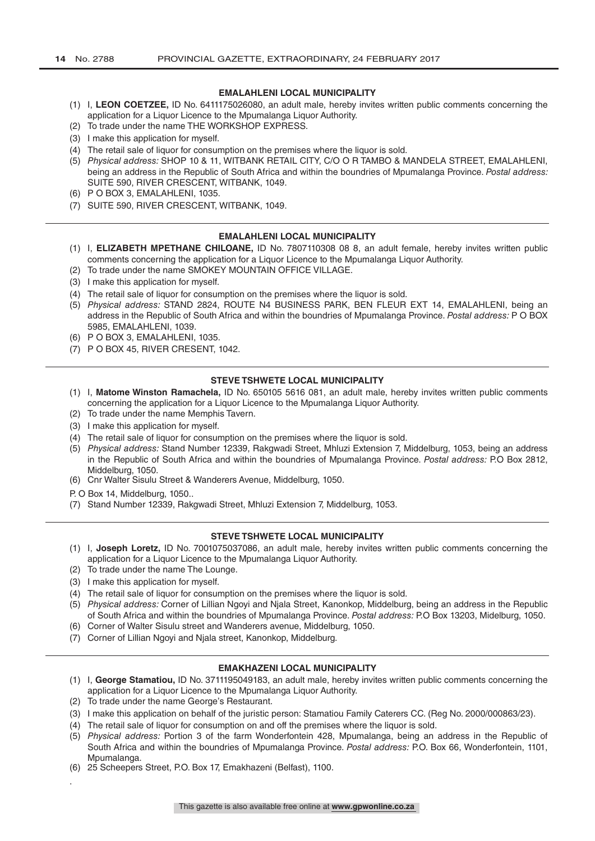#### **EMALAHLENI LOCAL MUNICIPALITY**

- (1) I, **LEON COETZEE,** ID No. 6411175026080, an adult male, hereby invites written public comments concerning the application for a Liquor Licence to the Mpumalanga Liquor Authority.
- (2) To trade under the name THE WORKSHOP EXPRESS.
- (3) I make this application for myself.
- (4) The retail sale of liquor for consumption on the premises where the liquor is sold.
- (5) *Physical address:* SHOP 10 & 11, WITBANK RETAIL CITY, C/O O R TAMBO & MANDELA STREET, EMALAHLENI, being an address in the Republic of South Africa and within the boundries of Mpumalanga Province. *Postal address:*  SUITE 590, RIVER CRESCENT, WITBANK, 1049.
- (6) P O BOX 3, EMALAHLENI, 1035.
- (7) SUITE 590, RIVER CRESCENT, WITBANK, 1049.

#### **EMALAHLENI LOCAL MUNICIPALITY**

- (1) I, **ELIZABETH MPETHANE CHILOANE,** ID No. 7807110308 08 8, an adult female, hereby invites written public comments concerning the application for a Liquor Licence to the Mpumalanga Liquor Authority.
- (2) To trade under the name SMOKEY MOUNTAIN OFFICE VILLAGE.
- (3) I make this application for myself.
- (4) The retail sale of liquor for consumption on the premises where the liquor is sold.
- (5) *Physical address:* STAND 2824, ROUTE N4 BUSINESS PARK, BEN FLEUR EXT 14, EMALAHLENI, being an address in the Republic of South Africa and within the boundries of Mpumalanga Province. *Postal address:* P O BOX 5985, EMALAHLENI, 1039.
- (6) P O BOX 3, EMALAHLENI, 1035.
- (7) P O BOX 45, RIVER CRESENT, 1042.

#### **STEVE TSHWETE LOCAL MUNICIPALITY**

- (1) I, **Matome Winston Ramachela,** ID No. 650105 5616 081, an adult male, hereby invites written public comments concerning the application for a Liquor Licence to the Mpumalanga Liquor Authority.
- (2) To trade under the name Memphis Tavern.
- (3) I make this application for myself.
- (4) The retail sale of liquor for consumption on the premises where the liquor is sold.
- (5) *Physical address:* Stand Number 12339, Rakgwadi Street, Mhluzi Extension 7, Middelburg, 1053, being an address in the Republic of South Africa and within the boundries of Mpumalanga Province. *Postal address:* P.O Box 2812, Middelburg, 1050.
- (6) Cnr Walter Sisulu Street & Wanderers Avenue, Middelburg, 1050.
- P. O Box 14, Middelburg, 1050..
- (7) Stand Number 12339, Rakgwadi Street, Mhluzi Extension 7, Middelburg, 1053.

#### **STEVE TSHWETE LOCAL MUNICIPALITY**

- (1) I, **Joseph Loretz,** ID No. 7001075037086, an adult male, hereby invites written public comments concerning the application for a Liquor Licence to the Mpumalanga Liquor Authority.
- (2) To trade under the name The Lounge.
- (3) I make this application for myself.

.

- (4) The retail sale of liquor for consumption on the premises where the liquor is sold.
- (5) *Physical address:* Corner of Lillian Ngoyi and Njala Street, Kanonkop, Middelburg, being an address in the Republic of South Africa and within the boundries of Mpumalanga Province. *Postal address:* P.O Box 13203, Midelburg, 1050.
- (6) Corner of Walter Sisulu street and Wanderers avenue, Middelburg, 1050.
- (7) Corner of Lillian Ngoyi and Njala street, Kanonkop, Middelburg.

#### **EMAKHAZENI LOCAL MUNICIPALITY**

- (1) I, **George Stamatiou,** ID No. 3711195049183, an adult male, hereby invites written public comments concerning the application for a Liquor Licence to the Mpumalanga Liquor Authority.
- (2) To trade under the name George's Restaurant.
- (3) I make this application on behalf of the juristic person: Stamatiou Family Caterers CC. (Reg No. 2000/000863/23).
- (4) The retail sale of liquor for consumption on and off the premises where the liquor is sold.
- (5) *Physical address:* Portion 3 of the farm Wonderfontein 428, Mpumalanga, being an address in the Republic of South Africa and within the boundries of Mpumalanga Province. *Postal address:* P.O. Box 66, Wonderfontein, 1101, Mpumalanga.
- (6) 25 Scheepers Street, P.O. Box 17, Emakhazeni (Belfast), 1100.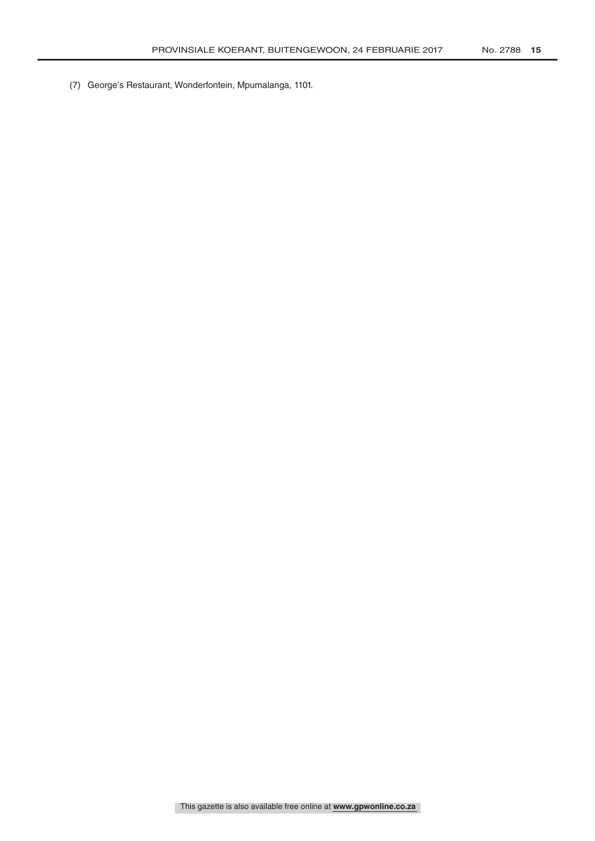(7) George's Restaurant, Wonderfontein, Mpumalanga, 1101.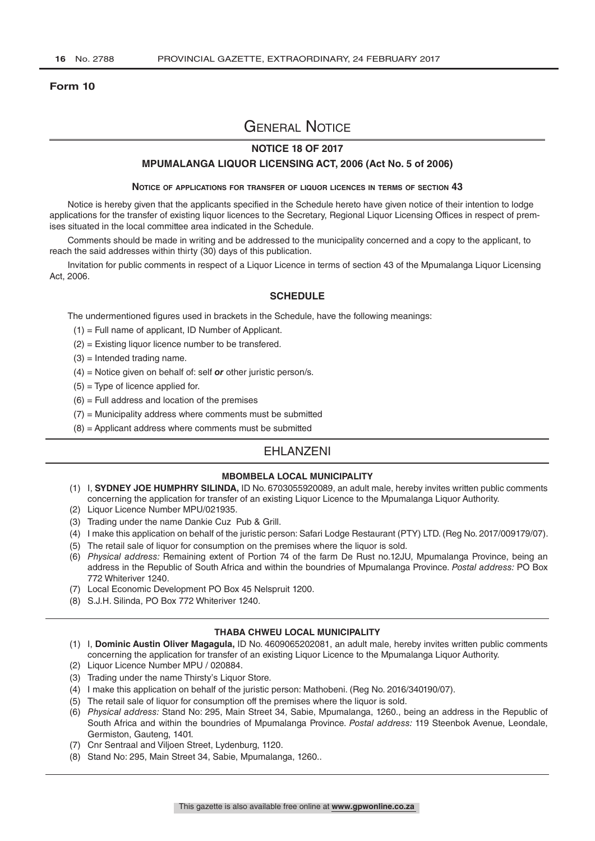#### **Form 10**

# General Notice

### **NOTICE 18 OF 2017**

#### **MPUMALANGA LIQUOR LICENSING ACT, 2006 (Act No. 5 of 2006)**

#### **Notice of applications for transfer of liquor licences in terms of section 43**

Notice is hereby given that the applicants specified in the Schedule hereto have given notice of their intention to lodge applications for the transfer of existing liquor licences to the Secretary, Regional Liquor Licensing Offices in respect of premises situated in the local committee area indicated in the Schedule.

Comments should be made in writing and be addressed to the municipality concerned and a copy to the applicant, to reach the said addresses within thirty (30) days of this publication.

Invitation for public comments in respect of a Liquor Licence in terms of section 43 of the Mpumalanga Liquor Licensing Act, 2006.

#### **SCHEDULE**

The undermentioned figures used in brackets in the Schedule, have the following meanings:

- (1) = Full name of applicant, ID Number of Applicant.
- (2) = Existing liquor licence number to be transfered.
- $(3)$  = Intended trading name.
- (4) = Notice given on behalf of: self *or* other juristic person/s.
- $(5)$  = Type of licence applied for.
- $(6)$  = Full address and location of the premises
- $(7)$  = Municipality address where comments must be submitted
- $(8)$  = Applicant address where comments must be submitted

### EHLANZENI

### **MBOMBELA LOCAL MUNICIPALITY**

- (1) I, **SYDNEY JOE HUMPHRY SILINDA,** ID No. 6703055920089, an adult male, hereby invites written public comments concerning the application for transfer of an existing Liquor Licence to the Mpumalanga Liquor Authority.
- (2) Liquor Licence Number MPU/021935.
- (3) Trading under the name Dankie Cuz Pub & Grill.
- (4) I make this application on behalf of the juristic person: Safari Lodge Restaurant (PTY) LTD. (Reg No. 2017/009179/07).
- (5) The retail sale of liquor for consumption on the premises where the liquor is sold.
- (6) *Physical address:* Remaining extent of Portion 74 of the farm De Rust no.12JU, Mpumalanga Province, being an address in the Republic of South Africa and within the boundries of Mpumalanga Province. *Postal address:* PO Box 772 Whiteriver 1240.
- (7) Local Economic Development PO Box 45 Nelspruit 1200.
- (8) S.J.H. Silinda, PO Box 772 Whiteriver 1240.

#### **THABA CHWEU LOCAL MUNICIPALITY**

- (1) I, **Dominic Austin Oliver Magagula,** ID No. 4609065202081, an adult male, hereby invites written public comments concerning the application for transfer of an existing Liquor Licence to the Mpumalanga Liquor Authority.
- (2) Liquor Licence Number MPU / 020884.
- (3) Trading under the name Thirsty's Liquor Store.
- (4) I make this application on behalf of the juristic person: Mathobeni. (Reg No. 2016/340190/07).
- (5) The retail sale of liquor for consumption off the premises where the liquor is sold.
- (6) *Physical address:* Stand No: 295, Main Street 34, Sabie, Mpumalanga, 1260., being an address in the Republic of South Africa and within the boundries of Mpumalanga Province. *Postal address:* 119 Steenbok Avenue, Leondale, Germiston, Gauteng, 1401.
- (7) Cnr Sentraal and Viljoen Street, Lydenburg, 1120.
- (8) Stand No: 295, Main Street 34, Sabie, Mpumalanga, 1260..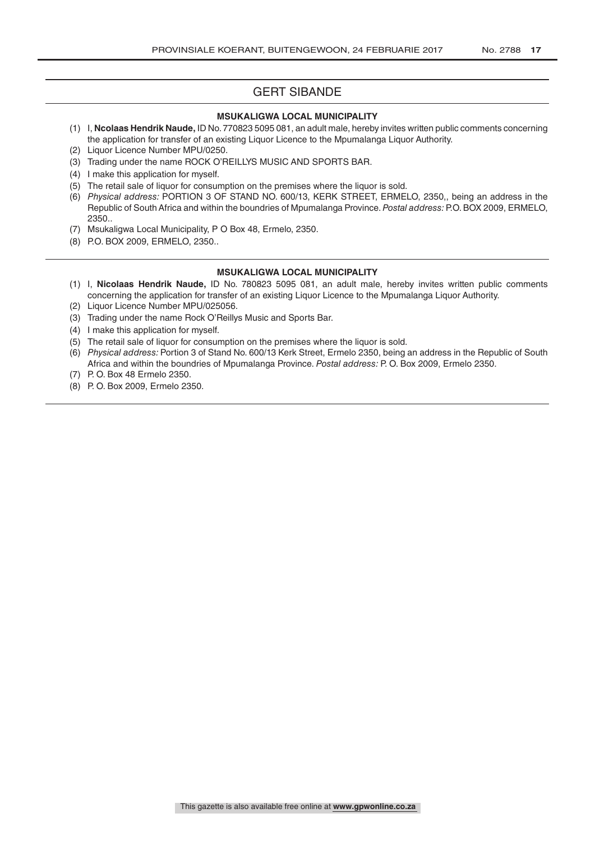# GERT SIBANDE

# **MSUKALIGWA LOCAL MUNICIPALITY**

- (1) I, **Ncolaas Hendrik Naude,** ID No. 770823 5095 081, an adult male, hereby invites written public comments concerning the application for transfer of an existing Liquor Licence to the Mpumalanga Liquor Authority.
- (2) Liquor Licence Number MPU/0250.
- (3) Trading under the name ROCK O'REILLYS MUSIC AND SPORTS BAR.
- (4) I make this application for myself.
- (5) The retail sale of liquor for consumption on the premises where the liquor is sold.
- (6) *Physical address:* PORTION 3 OF STAND NO. 600/13, KERK STREET, ERMELO, 2350,, being an address in the Republic of South Africa and within the boundries of Mpumalanga Province. *Postal address:* P.O. BOX 2009, ERMELO, 2350..
- (7) Msukaligwa Local Municipality, P O Box 48, Ermelo, 2350.
- (8) P.O. BOX 2009, ERMELO, 2350..

#### **MSUKALIGWA LOCAL MUNICIPALITY**

- (1) I, **Nicolaas Hendrik Naude,** ID No. 780823 5095 081, an adult male, hereby invites written public comments concerning the application for transfer of an existing Liquor Licence to the Mpumalanga Liquor Authority.
- (2) Liquor Licence Number MPU/025056.
- (3) Trading under the name Rock O'Reillys Music and Sports Bar.
- (4) I make this application for myself.
- (5) The retail sale of liquor for consumption on the premises where the liquor is sold.
- (6) *Physical address:* Portion 3 of Stand No. 600/13 Kerk Street, Ermelo 2350, being an address in the Republic of South Africa and within the boundries of Mpumalanga Province. *Postal address:* P. O. Box 2009, Ermelo 2350.
- (7) P. O. Box 48 Ermelo 2350.
- (8) P. O. Box 2009, Ermelo 2350.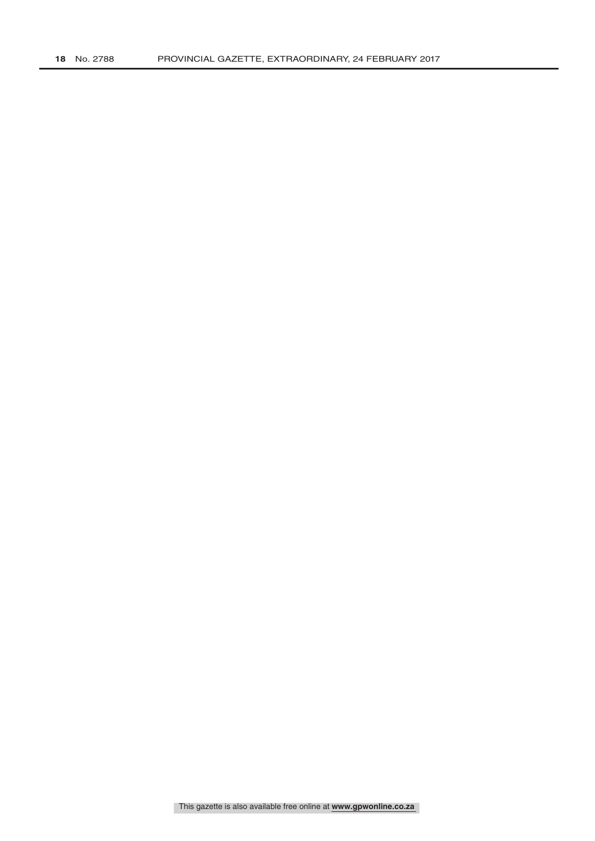This gazette is also available free online at **www.gpwonline.co.za**